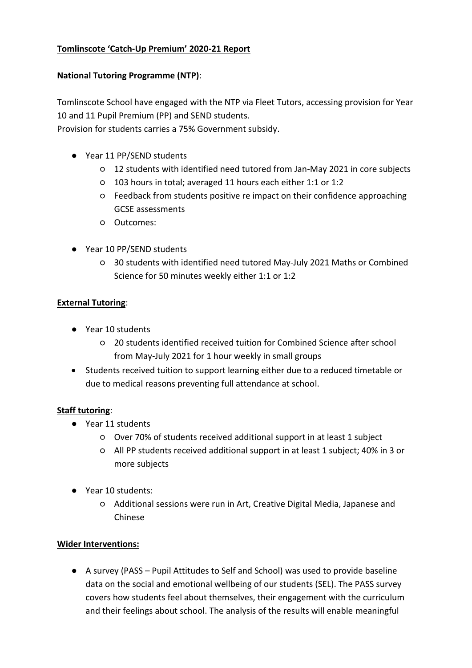## **Tomlinscote 'Catch-Up Premium' 2020-21 Report**

### **National Tutoring Programme (NTP)**:

Tomlinscote School have engaged with the NTP via Fleet Tutors, accessing provision for Year 10 and 11 Pupil Premium (PP) and SEND students.

Provision for students carries a 75% Government subsidy.

- Year 11 PP/SEND students
	- 12 students with identified need tutored from Jan-May 2021 in core subjects
	- 103 hours in total; averaged 11 hours each either 1:1 or 1:2
	- Feedback from students positive re impact on their confidence approaching GCSE assessments
	- Outcomes:
- Year 10 PP/SEND students
	- 30 students with identified need tutored May-July 2021 Maths or Combined Science for 50 minutes weekly either 1:1 or 1:2

### **External Tutoring**:

- Year 10 students
	- 20 students identified received tuition for Combined Science after school from May-July 2021 for 1 hour weekly in small groups
- Students received tuition to support learning either due to a reduced timetable or due to medical reasons preventing full attendance at school.

### **Staff tutoring**:

- Year 11 students
	- Over 70% of students received additional support in at least 1 subject
	- All PP students received additional support in at least 1 subject; 40% in 3 or more subjects
- Year 10 students:
	- Additional sessions were run in Art, Creative Digital Media, Japanese and Chinese

### **Wider Interventions:**

● A survey (PASS – Pupil Attitudes to Self and School) was used to provide baseline data on the social and emotional wellbeing of our students (SEL). The PASS survey covers how students feel about themselves, their engagement with the curriculum and their feelings about school. The analysis of the results will enable meaningful